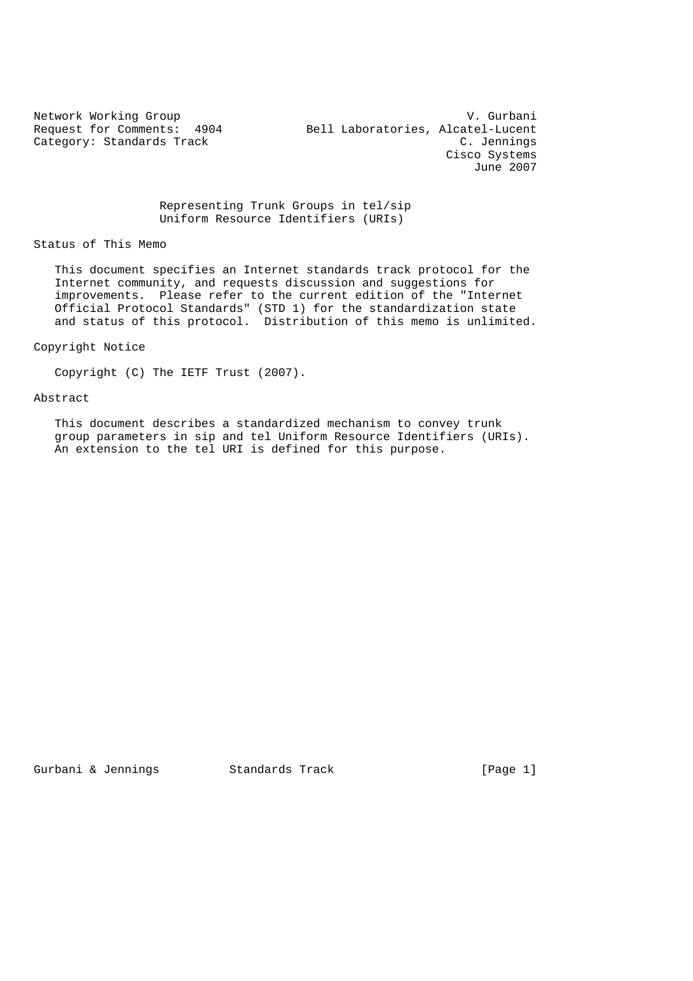Network Working Group V. Gurbani<br>Request for Comments: 4904 Bell Laboratories, Alcatel-Lucent Bell Laboratories, Alcatel-Lucent Category: Standards Track C. Jennings Cisco Systems June 2007

> Representing Trunk Groups in tel/sip Uniform Resource Identifiers (URIs)

Status of This Memo

 This document specifies an Internet standards track protocol for the Internet community, and requests discussion and suggestions for improvements. Please refer to the current edition of the "Internet Official Protocol Standards" (STD 1) for the standardization state and status of this protocol. Distribution of this memo is unlimited.

Copyright Notice

Copyright (C) The IETF Trust (2007).

#### Abstract

 This document describes a standardized mechanism to convey trunk group parameters in sip and tel Uniform Resource Identifiers (URIs). An extension to the tel URI is defined for this purpose.

Gurbani & Jennings Standards Track [Page 1]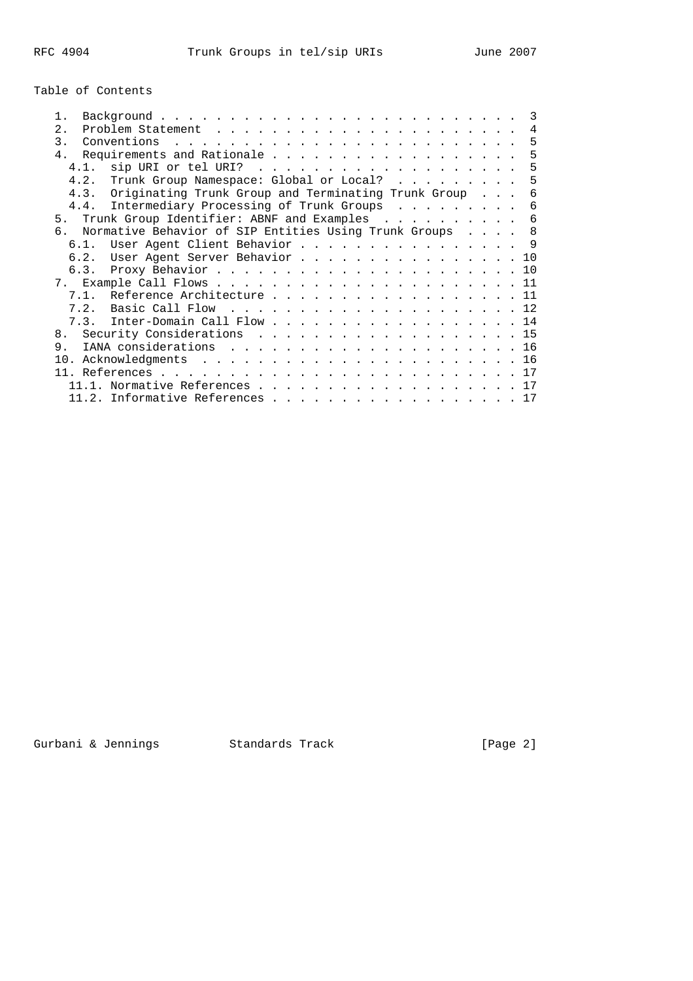# Table of Contents

|                                                               | $\overline{\mathbf{3}}$ |
|---------------------------------------------------------------|-------------------------|
| 2.1                                                           | 4                       |
| $\overline{3}$ .                                              | 5                       |
|                                                               | 5                       |
| 4.1.                                                          | 5                       |
| 4.2. Trunk Group Namespace: Global or Local?                  | .5                      |
| 4.3. Originating Trunk Group and Terminating Trunk Group      | 6                       |
| 4.4. Intermediary Processing of Trunk Groups                  | 6                       |
| 5. Trunk Group Identifier: ABNF and Examples                  | 6                       |
| Normative Behavior of SIP Entities Using Trunk Groups 8<br>რ. |                         |
| User Agent Client Behavior 9<br>6.1.                          |                         |
| 6.2.<br>User Agent Server Behavior 10                         |                         |
|                                                               |                         |
|                                                               |                         |
| 7.1. Reference Architecture 11                                |                         |
|                                                               |                         |
| 7.3. Inter-Domain Call Flow 14                                |                         |
| Security Considerations 15<br>8.                              |                         |
| 9.                                                            |                         |
| 10.                                                           |                         |
| 11                                                            |                         |
| .1. Normative References 17                                   |                         |
| 11.2. Informative References 17                               |                         |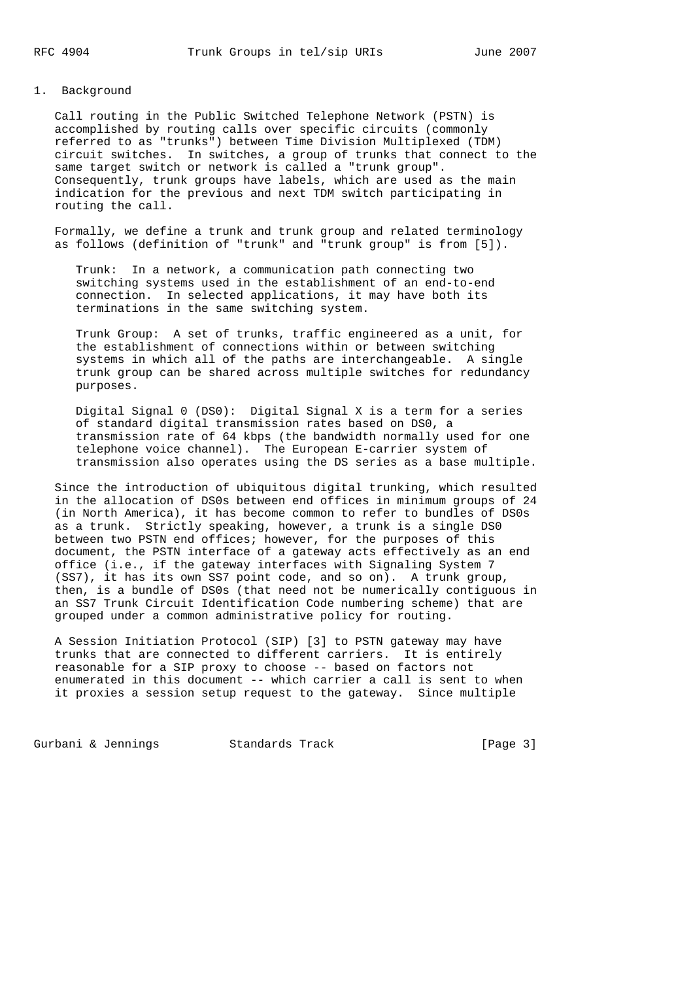# 1. Background

 Call routing in the Public Switched Telephone Network (PSTN) is accomplished by routing calls over specific circuits (commonly referred to as "trunks") between Time Division Multiplexed (TDM) circuit switches. In switches, a group of trunks that connect to the same target switch or network is called a "trunk group". Consequently, trunk groups have labels, which are used as the main indication for the previous and next TDM switch participating in routing the call.

 Formally, we define a trunk and trunk group and related terminology as follows (definition of "trunk" and "trunk group" is from [5]).

 Trunk: In a network, a communication path connecting two switching systems used in the establishment of an end-to-end connection. In selected applications, it may have both its terminations in the same switching system.

 Trunk Group: A set of trunks, traffic engineered as a unit, for the establishment of connections within or between switching systems in which all of the paths are interchangeable. A single trunk group can be shared across multiple switches for redundancy purposes.

 Digital Signal 0 (DS0): Digital Signal X is a term for a series of standard digital transmission rates based on DS0, a transmission rate of 64 kbps (the bandwidth normally used for one telephone voice channel). The European E-carrier system of transmission also operates using the DS series as a base multiple.

 Since the introduction of ubiquitous digital trunking, which resulted in the allocation of DS0s between end offices in minimum groups of 24 (in North America), it has become common to refer to bundles of DS0s as a trunk. Strictly speaking, however, a trunk is a single DS0 between two PSTN end offices; however, for the purposes of this document, the PSTN interface of a gateway acts effectively as an end office (i.e., if the gateway interfaces with Signaling System 7 (SS7), it has its own SS7 point code, and so on). A trunk group, then, is a bundle of DS0s (that need not be numerically contiguous in an SS7 Trunk Circuit Identification Code numbering scheme) that are grouped under a common administrative policy for routing.

 A Session Initiation Protocol (SIP) [3] to PSTN gateway may have trunks that are connected to different carriers. It is entirely reasonable for a SIP proxy to choose -- based on factors not enumerated in this document -- which carrier a call is sent to when it proxies a session setup request to the gateway. Since multiple

Gurbani & Jennings Standards Track [Page 3]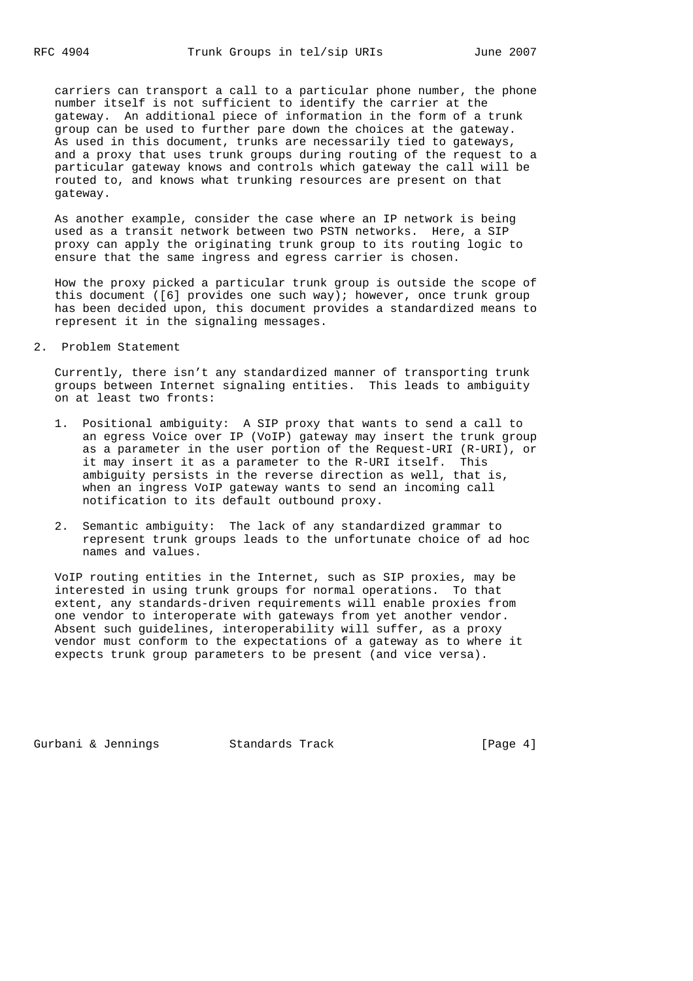carriers can transport a call to a particular phone number, the phone number itself is not sufficient to identify the carrier at the gateway. An additional piece of information in the form of a trunk group can be used to further pare down the choices at the gateway. As used in this document, trunks are necessarily tied to gateways, and a proxy that uses trunk groups during routing of the request to a particular gateway knows and controls which gateway the call will be routed to, and knows what trunking resources are present on that gateway.

 As another example, consider the case where an IP network is being used as a transit network between two PSTN networks. Here, a SIP proxy can apply the originating trunk group to its routing logic to ensure that the same ingress and egress carrier is chosen.

 How the proxy picked a particular trunk group is outside the scope of this document ([6] provides one such way); however, once trunk group has been decided upon, this document provides a standardized means to represent it in the signaling messages.

2. Problem Statement

 Currently, there isn't any standardized manner of transporting trunk groups between Internet signaling entities. This leads to ambiguity on at least two fronts:

- 1. Positional ambiguity: A SIP proxy that wants to send a call to an egress Voice over IP (VoIP) gateway may insert the trunk group as a parameter in the user portion of the Request-URI (R-URI), or it may insert it as a parameter to the R-URI itself. This ambiguity persists in the reverse direction as well, that is, when an ingress VoIP gateway wants to send an incoming call notification to its default outbound proxy.
- 2. Semantic ambiguity: The lack of any standardized grammar to represent trunk groups leads to the unfortunate choice of ad hoc names and values.

 VoIP routing entities in the Internet, such as SIP proxies, may be interested in using trunk groups for normal operations. To that extent, any standards-driven requirements will enable proxies from one vendor to interoperate with gateways from yet another vendor. Absent such guidelines, interoperability will suffer, as a proxy vendor must conform to the expectations of a gateway as to where it expects trunk group parameters to be present (and vice versa).

Gurbani & Jennings Standards Track (Page 4)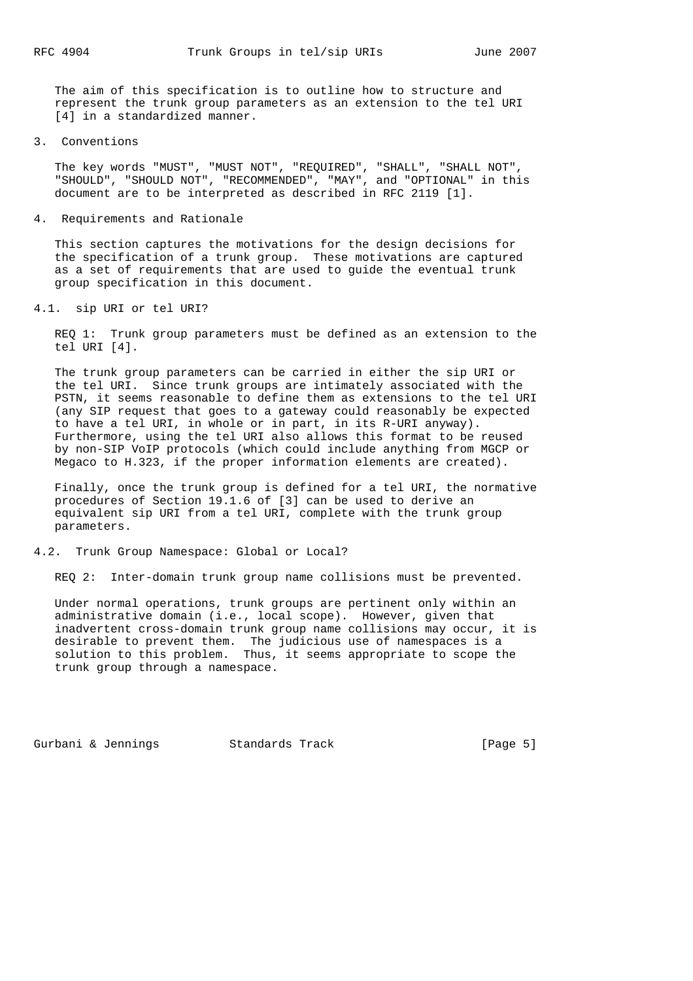The aim of this specification is to outline how to structure and represent the trunk group parameters as an extension to the tel URI [4] in a standardized manner.

3. Conventions

 The key words "MUST", "MUST NOT", "REQUIRED", "SHALL", "SHALL NOT", "SHOULD", "SHOULD NOT", "RECOMMENDED", "MAY", and "OPTIONAL" in this document are to be interpreted as described in RFC 2119 [1].

4. Requirements and Rationale

 This section captures the motivations for the design decisions for the specification of a trunk group. These motivations are captured as a set of requirements that are used to guide the eventual trunk group specification in this document.

4.1. sip URI or tel URI?

 REQ 1: Trunk group parameters must be defined as an extension to the tel URI [4].

 The trunk group parameters can be carried in either the sip URI or the tel URI. Since trunk groups are intimately associated with the PSTN, it seems reasonable to define them as extensions to the tel URI (any SIP request that goes to a gateway could reasonably be expected to have a tel URI, in whole or in part, in its R-URI anyway). Furthermore, using the tel URI also allows this format to be reused by non-SIP VoIP protocols (which could include anything from MGCP or Megaco to H.323, if the proper information elements are created).

 Finally, once the trunk group is defined for a tel URI, the normative procedures of Section 19.1.6 of [3] can be used to derive an equivalent sip URI from a tel URI, complete with the trunk group parameters.

#### 4.2. Trunk Group Namespace: Global or Local?

REQ 2: Inter-domain trunk group name collisions must be prevented.

 Under normal operations, trunk groups are pertinent only within an administrative domain (i.e., local scope). However, given that inadvertent cross-domain trunk group name collisions may occur, it is desirable to prevent them. The judicious use of namespaces is a solution to this problem. Thus, it seems appropriate to scope the trunk group through a namespace.

Gurbani & Jennings Standards Track (Page 5)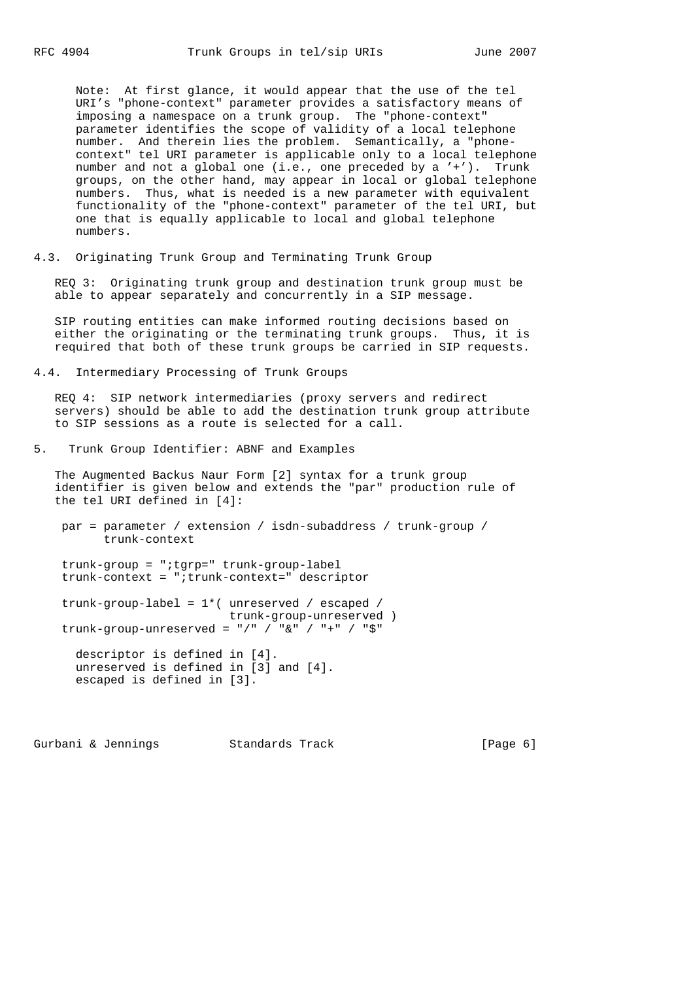Note: At first glance, it would appear that the use of the tel URI's "phone-context" parameter provides a satisfactory means of imposing a namespace on a trunk group. The "phone-context" parameter identifies the scope of validity of a local telephone number. And therein lies the problem. Semantically, a "phone context" tel URI parameter is applicable only to a local telephone number and not a global one (i.e., one preceded by a '+'). Trunk groups, on the other hand, may appear in local or global telephone numbers. Thus, what is needed is a new parameter with equivalent functionality of the "phone-context" parameter of the tel URI, but one that is equally applicable to local and global telephone numbers.

4.3. Originating Trunk Group and Terminating Trunk Group

 REQ 3: Originating trunk group and destination trunk group must be able to appear separately and concurrently in a SIP message.

 SIP routing entities can make informed routing decisions based on either the originating or the terminating trunk groups. Thus, it is required that both of these trunk groups be carried in SIP requests.

4.4. Intermediary Processing of Trunk Groups

 REQ 4: SIP network intermediaries (proxy servers and redirect servers) should be able to add the destination trunk group attribute to SIP sessions as a route is selected for a call.

5. Trunk Group Identifier: ABNF and Examples

 The Augmented Backus Naur Form [2] syntax for a trunk group identifier is given below and extends the "par" production rule of the tel URI defined in [4]:

 par = parameter / extension / isdn-subaddress / trunk-group / trunk-context

 trunk-group = ";tgrp=" trunk-group-label trunk-context = ";trunk-context=" descriptor

 trunk-group-label = 1\*( unreserved / escaped / trunk-group-unreserved ) trunk-group-unreserved = "/" / "&" / "+" / "\$"

 descriptor is defined in [4]. unreserved is defined in [3] and [4]. escaped is defined in [3].

Gurbani & Jennings Standards Track [Page 6]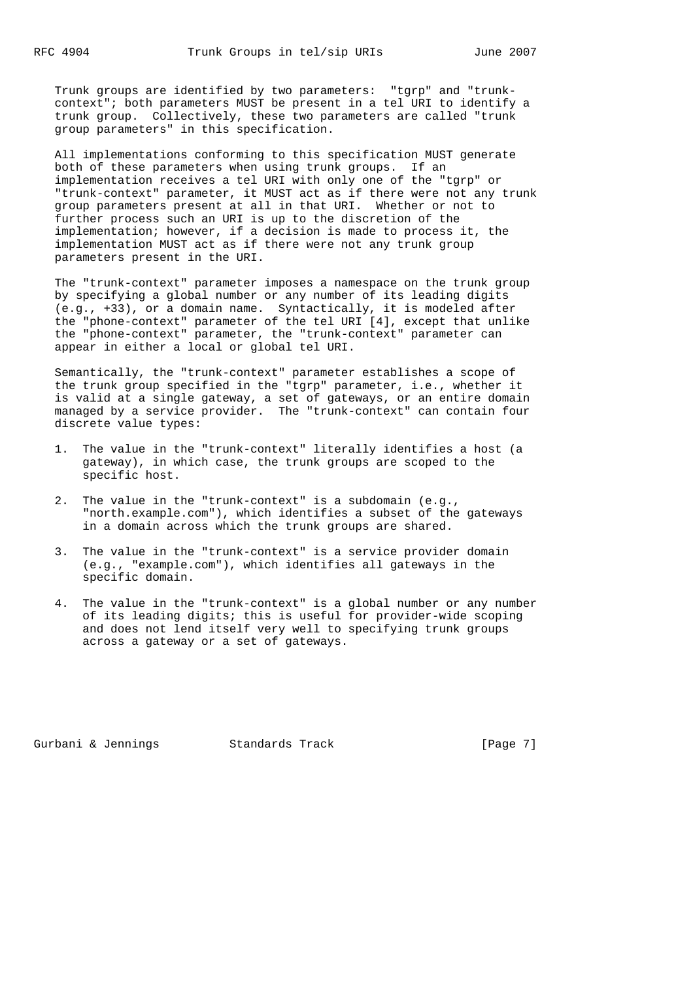Trunk groups are identified by two parameters: "tgrp" and "trunk context"; both parameters MUST be present in a tel URI to identify a trunk group. Collectively, these two parameters are called "trunk group parameters" in this specification.

 All implementations conforming to this specification MUST generate both of these parameters when using trunk groups. If an implementation receives a tel URI with only one of the "tgrp" or "trunk-context" parameter, it MUST act as if there were not any trunk group parameters present at all in that URI. Whether or not to further process such an URI is up to the discretion of the implementation; however, if a decision is made to process it, the implementation MUST act as if there were not any trunk group parameters present in the URI.

 The "trunk-context" parameter imposes a namespace on the trunk group by specifying a global number or any number of its leading digits (e.g., +33), or a domain name. Syntactically, it is modeled after the "phone-context" parameter of the tel URI [4], except that unlike the "phone-context" parameter, the "trunk-context" parameter can appear in either a local or global tel URI.

 Semantically, the "trunk-context" parameter establishes a scope of the trunk group specified in the "tgrp" parameter, i.e., whether it is valid at a single gateway, a set of gateways, or an entire domain managed by a service provider. The "trunk-context" can contain four discrete value types:

- 1. The value in the "trunk-context" literally identifies a host (a gateway), in which case, the trunk groups are scoped to the specific host.
- 2. The value in the "trunk-context" is a subdomain (e.g., "north.example.com"), which identifies a subset of the gateways in a domain across which the trunk groups are shared.
- 3. The value in the "trunk-context" is a service provider domain (e.g., "example.com"), which identifies all gateways in the specific domain.
- 4. The value in the "trunk-context" is a global number or any number of its leading digits; this is useful for provider-wide scoping and does not lend itself very well to specifying trunk groups across a gateway or a set of gateways.

Gurbani & Jennings Standards Track (Page 7)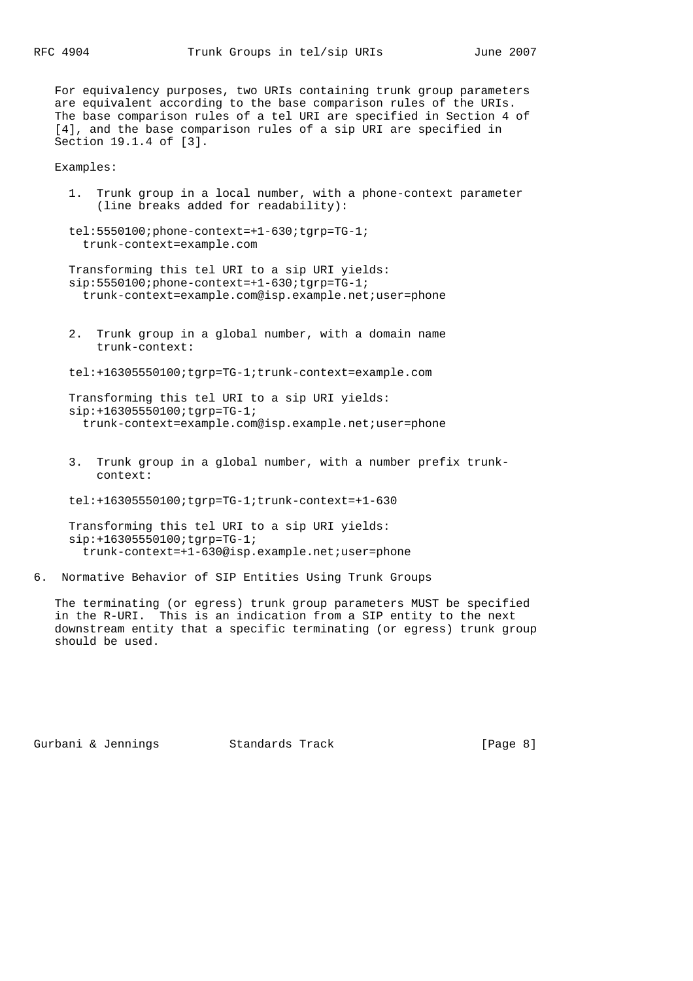For equivalency purposes, two URIs containing trunk group parameters are equivalent according to the base comparison rules of the URIs. The base comparison rules of a tel URI are specified in Section 4 of [4], and the base comparison rules of a sip URI are specified in Section 19.1.4 of [3].

Examples:

 1. Trunk group in a local number, with a phone-context parameter (line breaks added for readability):

 tel:5550100;phone-context=+1-630;tgrp=TG-1; trunk-context=example.com

 Transforming this tel URI to a sip URI yields: sip:5550100;phone-context=+1-630;tgrp=TG-1; trunk-context=example.com@isp.example.net;user=phone

 2. Trunk group in a global number, with a domain name trunk-context:

tel:+16305550100;tgrp=TG-1;trunk-context=example.com

 Transforming this tel URI to a sip URI yields: sip:+16305550100;tgrp=TG-1; trunk-context=example.com@isp.example.net;user=phone

 3. Trunk group in a global number, with a number prefix trunk context:

tel:+16305550100;tgrp=TG-1;trunk-context=+1-630

 Transforming this tel URI to a sip URI yields: sip:+16305550100;tgrp=TG-1; trunk-context=+1-630@isp.example.net;user=phone

6. Normative Behavior of SIP Entities Using Trunk Groups

 The terminating (or egress) trunk group parameters MUST be specified in the R-URI. This is an indication from a SIP entity to the next downstream entity that a specific terminating (or egress) trunk group should be used.

Gurbani & Jennings Standards Track (Page 8)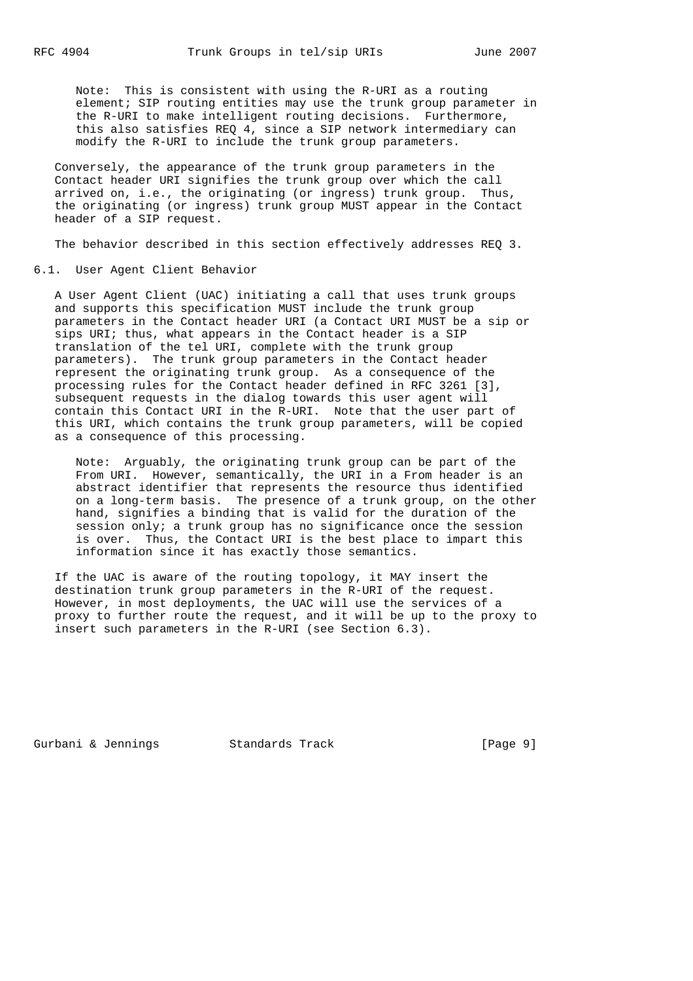Note: This is consistent with using the R-URI as a routing element; SIP routing entities may use the trunk group parameter in the R-URI to make intelligent routing decisions. Furthermore, this also satisfies REQ 4, since a SIP network intermediary can modify the R-URI to include the trunk group parameters.

 Conversely, the appearance of the trunk group parameters in the Contact header URI signifies the trunk group over which the call arrived on, i.e., the originating (or ingress) trunk group. Thus, the originating (or ingress) trunk group MUST appear in the Contact header of a SIP request.

The behavior described in this section effectively addresses REQ 3.

## 6.1. User Agent Client Behavior

 A User Agent Client (UAC) initiating a call that uses trunk groups and supports this specification MUST include the trunk group parameters in the Contact header URI (a Contact URI MUST be a sip or sips URI; thus, what appears in the Contact header is a SIP translation of the tel URI, complete with the trunk group parameters). The trunk group parameters in the Contact header represent the originating trunk group. As a consequence of the processing rules for the Contact header defined in RFC 3261 [3], subsequent requests in the dialog towards this user agent will contain this Contact URI in the R-URI. Note that the user part of this URI, which contains the trunk group parameters, will be copied as a consequence of this processing.

 Note: Arguably, the originating trunk group can be part of the From URI. However, semantically, the URI in a From header is an abstract identifier that represents the resource thus identified on a long-term basis. The presence of a trunk group, on the other hand, signifies a binding that is valid for the duration of the session only; a trunk group has no significance once the session is over. Thus, the Contact URI is the best place to impart this information since it has exactly those semantics.

 If the UAC is aware of the routing topology, it MAY insert the destination trunk group parameters in the R-URI of the request. However, in most deployments, the UAC will use the services of a proxy to further route the request, and it will be up to the proxy to insert such parameters in the R-URI (see Section 6.3).

Gurbani & Jennings Standards Track (Page 9)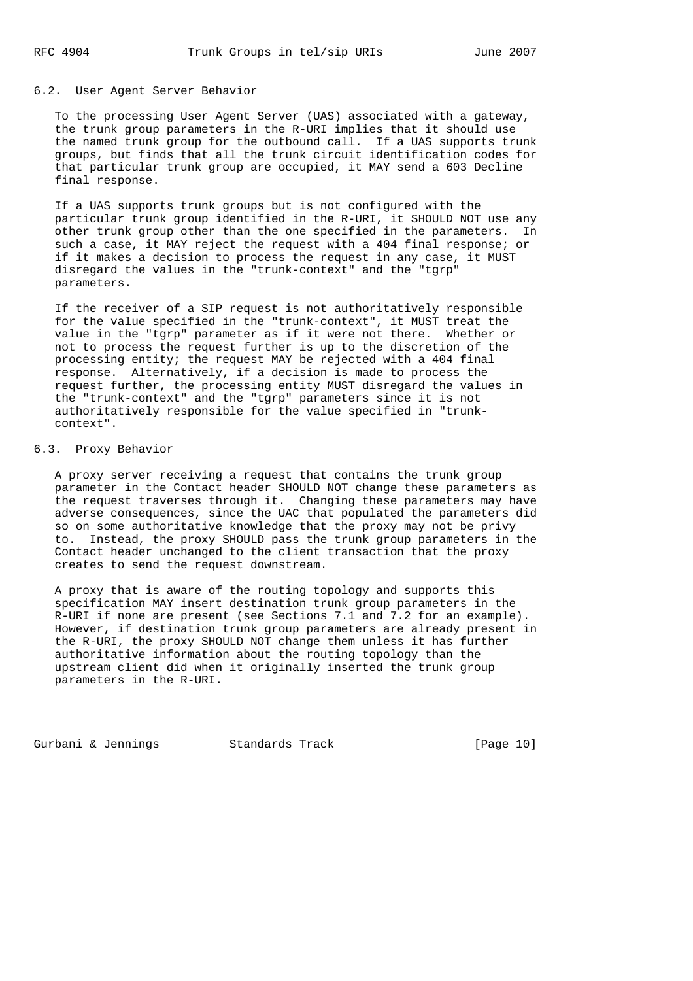### 6.2. User Agent Server Behavior

 To the processing User Agent Server (UAS) associated with a gateway, the trunk group parameters in the R-URI implies that it should use the named trunk group for the outbound call. If a UAS supports trunk groups, but finds that all the trunk circuit identification codes for that particular trunk group are occupied, it MAY send a 603 Decline final response.

 If a UAS supports trunk groups but is not configured with the particular trunk group identified in the R-URI, it SHOULD NOT use any other trunk group other than the one specified in the parameters. In such a case, it MAY reject the request with a 404 final response; or if it makes a decision to process the request in any case, it MUST disregard the values in the "trunk-context" and the "tgrp" parameters.

 If the receiver of a SIP request is not authoritatively responsible for the value specified in the "trunk-context", it MUST treat the value in the "tgrp" parameter as if it were not there. Whether or not to process the request further is up to the discretion of the processing entity; the request MAY be rejected with a 404 final response. Alternatively, if a decision is made to process the request further, the processing entity MUST disregard the values in the "trunk-context" and the "tgrp" parameters since it is not authoritatively responsible for the value specified in "trunk context".

# 6.3. Proxy Behavior

 A proxy server receiving a request that contains the trunk group parameter in the Contact header SHOULD NOT change these parameters as the request traverses through it. Changing these parameters may have adverse consequences, since the UAC that populated the parameters did so on some authoritative knowledge that the proxy may not be privy to. Instead, the proxy SHOULD pass the trunk group parameters in the Contact header unchanged to the client transaction that the proxy creates to send the request downstream.

 A proxy that is aware of the routing topology and supports this specification MAY insert destination trunk group parameters in the R-URI if none are present (see Sections 7.1 and 7.2 for an example). However, if destination trunk group parameters are already present in the R-URI, the proxy SHOULD NOT change them unless it has further authoritative information about the routing topology than the upstream client did when it originally inserted the trunk group parameters in the R-URI.

Gurbani & Jennings Standards Track [Page 10]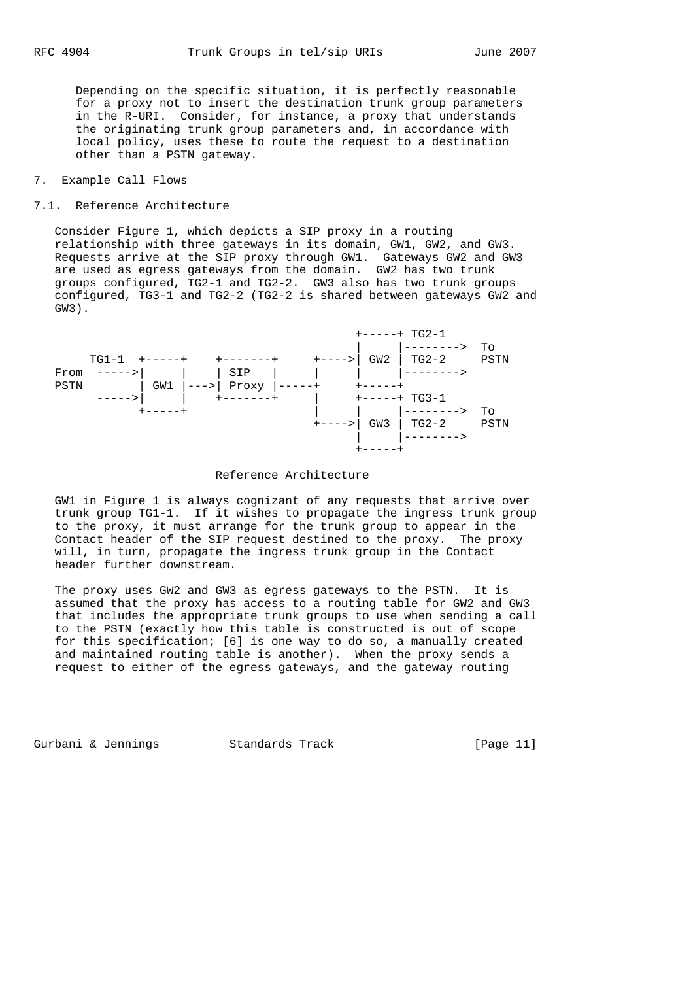Depending on the specific situation, it is perfectly reasonable for a proxy not to insert the destination trunk group parameters in the R-URI. Consider, for instance, a proxy that understands the originating trunk group parameters and, in accordance with local policy, uses these to route the request to a destination other than a PSTN gateway.

## 7. Example Call Flows

## 7.1. Reference Architecture

 Consider Figure 1, which depicts a SIP proxy in a routing relationship with three gateways in its domain, GW1, GW2, and GW3. Requests arrive at the SIP proxy through GW1. Gateways GW2 and GW3 are used as egress gateways from the domain. GW2 has two trunk groups configured, TG2-1 and TG2-2. GW3 also has two trunk groups configured, TG3-1 and TG2-2 (TG2-2 is shared between gateways GW2 and GW3).



### Reference Architecture

 GW1 in Figure 1 is always cognizant of any requests that arrive over trunk group TG1-1. If it wishes to propagate the ingress trunk group to the proxy, it must arrange for the trunk group to appear in the Contact header of the SIP request destined to the proxy. The proxy will, in turn, propagate the ingress trunk group in the Contact header further downstream.

 The proxy uses GW2 and GW3 as egress gateways to the PSTN. It is assumed that the proxy has access to a routing table for GW2 and GW3 that includes the appropriate trunk groups to use when sending a call to the PSTN (exactly how this table is constructed is out of scope for this specification; [6] is one way to do so, a manually created and maintained routing table is another). When the proxy sends a request to either of the egress gateways, and the gateway routing

Gurbani & Jennings Standards Track [Page 11]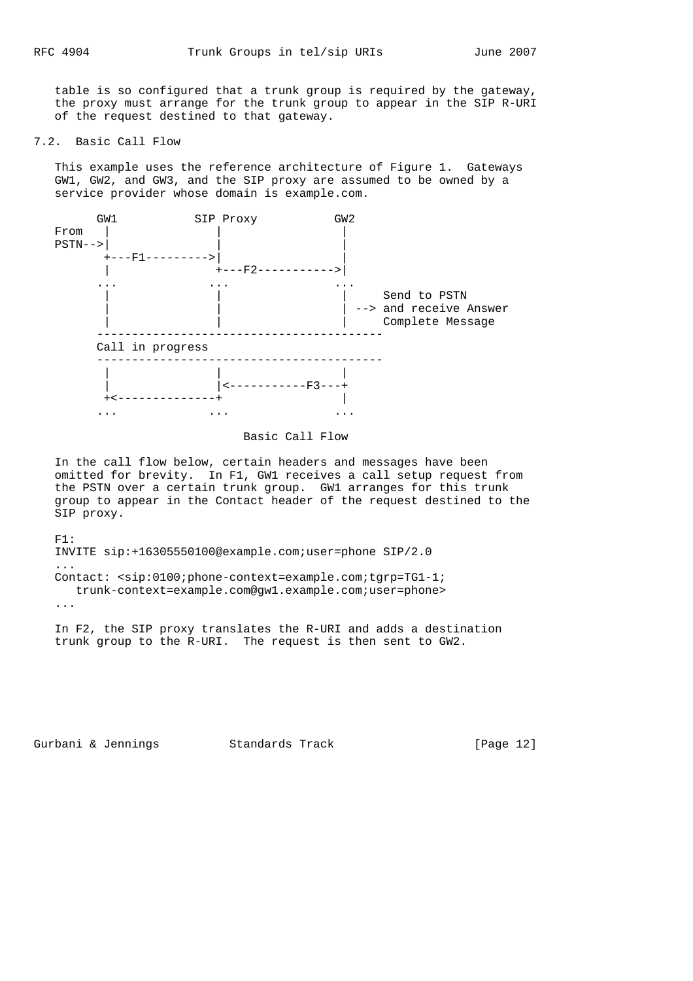table is so configured that a trunk group is required by the gateway, the proxy must arrange for the trunk group to appear in the SIP R-URI of the request destined to that gateway.

## 7.2. Basic Call Flow

 This example uses the reference architecture of Figure 1. Gateways GW1, GW2, and GW3, and the SIP proxy are assumed to be owned by a service provider whose domain is example.com.



Basic Call Flow

 In the call flow below, certain headers and messages have been omitted for brevity. In F1, GW1 receives a call setup request from the PSTN over a certain trunk group. GW1 arranges for this trunk group to appear in the Contact header of the request destined to the SIP proxy.

 F1: INVITE sip:+16305550100@example.com;user=phone SIP/2.0 ... Contact: <sip:0100;phone-context=example.com;tgrp=TG1-1; trunk-context=example.com@gw1.example.com;user=phone> ...

 In F2, the SIP proxy translates the R-URI and adds a destination trunk group to the R-URI. The request is then sent to GW2.

Gurbani & Jennings Standards Track [Page 12]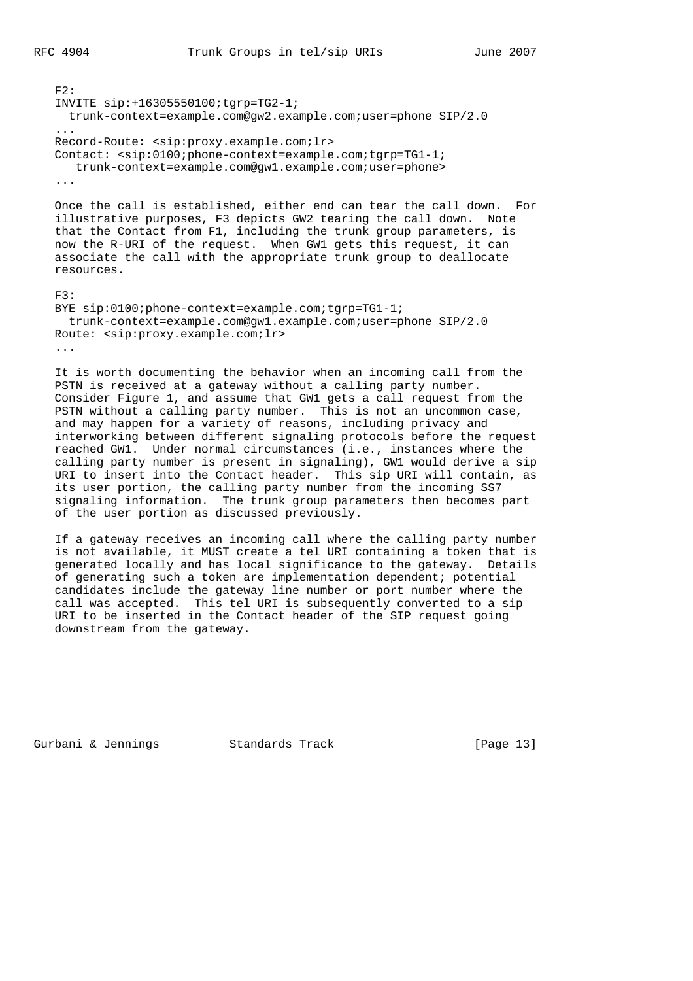```
 F2:
  INVITE sip:+16305550100;tgrp=TG2-1;
    trunk-context=example.com@gw2.example.com;user=phone SIP/2.0
...
  Record-Route: <sip:proxy.example.com;lr>
  Contact: <sip:0100;phone-context=example.com;tgrp=TG1-1;
     trunk-context=example.com@gw1.example.com;user=phone>
...
  Once the call is established, either end can tear the call down. For
  illustrative purposes, F3 depicts GW2 tearing the call down. Note
  that the Contact from F1, including the trunk group parameters, is
  now the R-URI of the request. When GW1 gets this request, it can
  associate the call with the appropriate trunk group to deallocate
  resources.
  F3:
  BYE sip:0100;phone-context=example.com;tgrp=TG1-1;
    trunk-context=example.com@gw1.example.com;user=phone SIP/2.0
  Route: <sip:proxy.example.com;lr>
  ...
```
 It is worth documenting the behavior when an incoming call from the PSTN is received at a gateway without a calling party number. Consider Figure 1, and assume that GW1 gets a call request from the PSTN without a calling party number. This is not an uncommon case, and may happen for a variety of reasons, including privacy and interworking between different signaling protocols before the request reached GW1. Under normal circumstances (i.e., instances where the calling party number is present in signaling), GW1 would derive a sip URI to insert into the Contact header. This sip URI will contain, as its user portion, the calling party number from the incoming SS7 signaling information. The trunk group parameters then becomes part of the user portion as discussed previously.

 If a gateway receives an incoming call where the calling party number is not available, it MUST create a tel URI containing a token that is generated locally and has local significance to the gateway. Details of generating such a token are implementation dependent; potential candidates include the gateway line number or port number where the call was accepted. This tel URI is subsequently converted to a sip URI to be inserted in the Contact header of the SIP request going downstream from the gateway.

Gurbani & Jennings Standards Track [Page 13]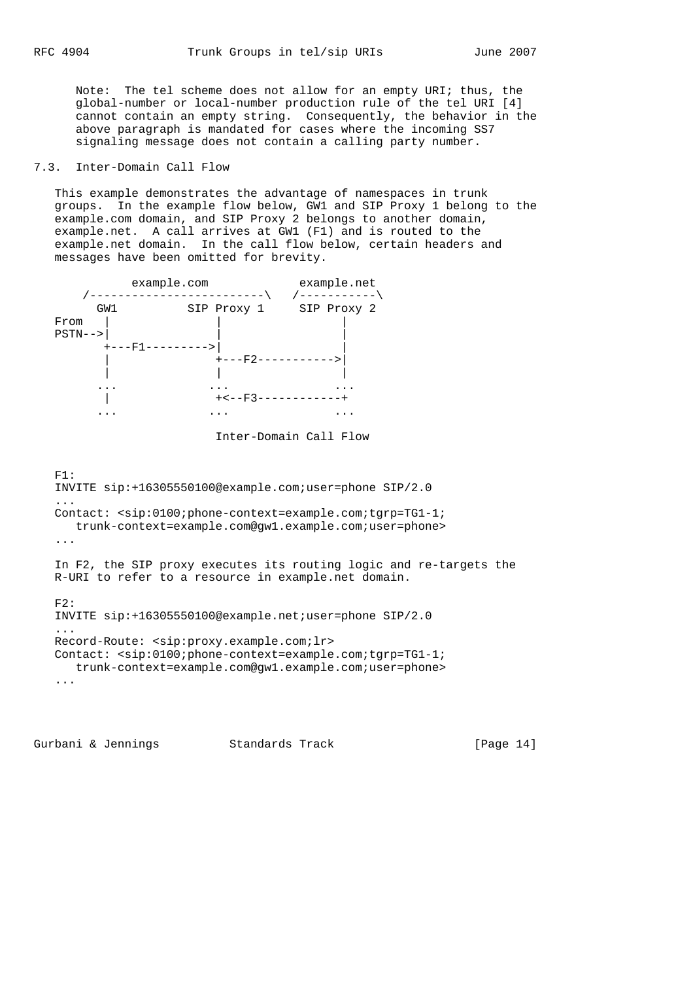Note: The tel scheme does not allow for an empty URI; thus, the global-number or local-number production rule of the tel URI [4] cannot contain an empty string. Consequently, the behavior in the above paragraph is mandated for cases where the incoming SS7 signaling message does not contain a calling party number.

#### 7.3. Inter-Domain Call Flow

 This example demonstrates the advantage of namespaces in trunk groups. In the example flow below, GW1 and SIP Proxy 1 belong to the example.com domain, and SIP Proxy 2 belongs to another domain, example.net. A call arrives at GW1 (F1) and is routed to the example.net domain. In the call flow below, certain headers and messages have been omitted for brevity.



Inter-Domain Call Flow

 F1: INVITE sip:+16305550100@example.com;user=phone SIP/2.0 ... Contact: <sip:0100;phone-context=example.com;tgrp=TG1-1; trunk-context=example.com@gw1.example.com;user=phone> ... In F2, the SIP proxy executes its routing logic and re-targets the R-URI to refer to a resource in example.net domain. F2: INVITE sip:+16305550100@example.net;user=phone SIP/2.0 ... Record-Route: <sip:proxy.example.com;lr> Contact: <sip:0100;phone-context=example.com;tgrp=TG1-1; trunk-context=example.com@gw1.example.com;user=phone> ...

Gurbani & Jennings Standards Track [Page 14]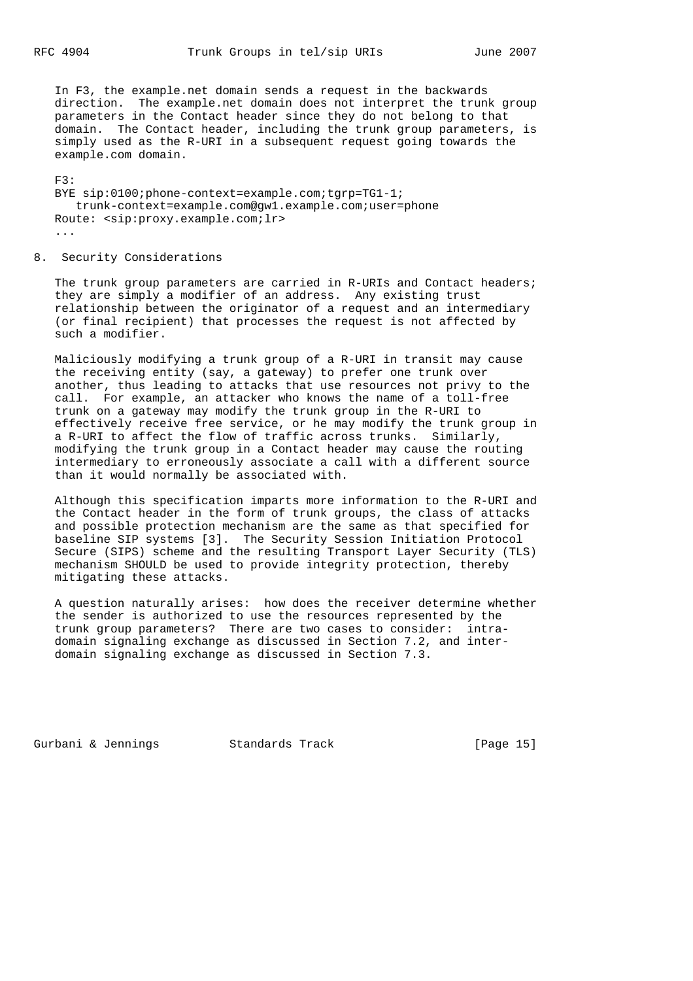In F3, the example.net domain sends a request in the backwards direction. The example.net domain does not interpret the trunk group parameters in the Contact header since they do not belong to that domain. The Contact header, including the trunk group parameters, is simply used as the R-URI in a subsequent request going towards the example.com domain.

 F3: BYE sip:0100;phone-context=example.com;tgrp=TG1-1; trunk-context=example.com@gw1.example.com;user=phone Route: <sip:proxy.example.com;lr> ...

8. Security Considerations

 The trunk group parameters are carried in R-URIs and Contact headers; they are simply a modifier of an address. Any existing trust relationship between the originator of a request and an intermediary (or final recipient) that processes the request is not affected by such a modifier.

 Maliciously modifying a trunk group of a R-URI in transit may cause the receiving entity (say, a gateway) to prefer one trunk over another, thus leading to attacks that use resources not privy to the call. For example, an attacker who knows the name of a toll-free trunk on a gateway may modify the trunk group in the R-URI to effectively receive free service, or he may modify the trunk group in a R-URI to affect the flow of traffic across trunks. Similarly, modifying the trunk group in a Contact header may cause the routing intermediary to erroneously associate a call with a different source than it would normally be associated with.

 Although this specification imparts more information to the R-URI and the Contact header in the form of trunk groups, the class of attacks and possible protection mechanism are the same as that specified for baseline SIP systems [3]. The Security Session Initiation Protocol Secure (SIPS) scheme and the resulting Transport Layer Security (TLS) mechanism SHOULD be used to provide integrity protection, thereby mitigating these attacks.

 A question naturally arises: how does the receiver determine whether the sender is authorized to use the resources represented by the trunk group parameters? There are two cases to consider: intra domain signaling exchange as discussed in Section 7.2, and inter domain signaling exchange as discussed in Section 7.3.

Gurbani & Jennings Standards Track [Page 15]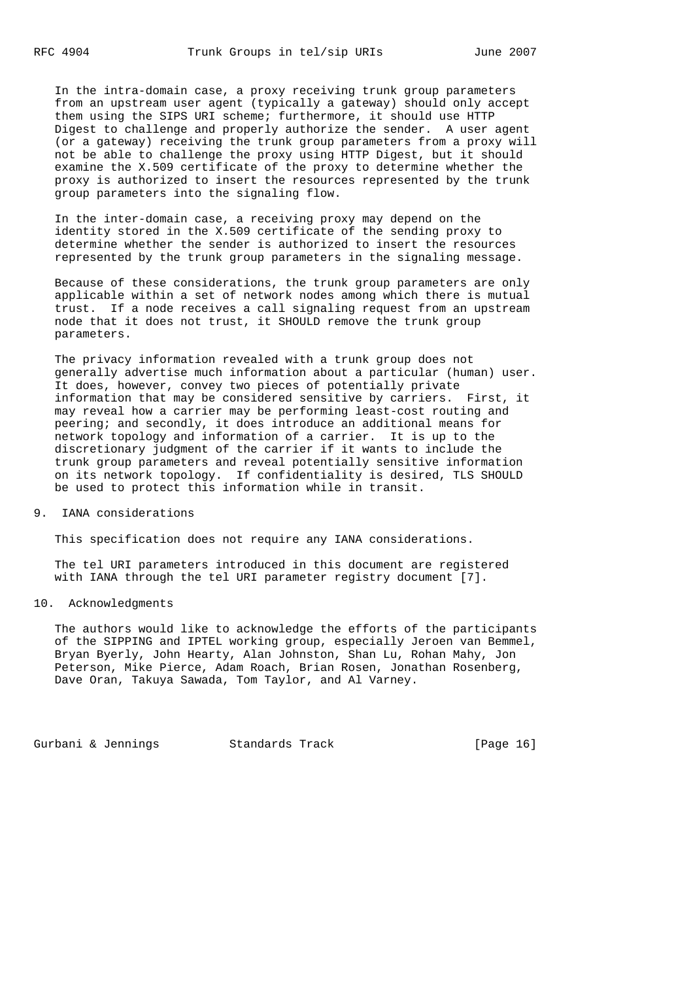In the intra-domain case, a proxy receiving trunk group parameters from an upstream user agent (typically a gateway) should only accept them using the SIPS URI scheme; furthermore, it should use HTTP Digest to challenge and properly authorize the sender. A user agent (or a gateway) receiving the trunk group parameters from a proxy will not be able to challenge the proxy using HTTP Digest, but it should examine the X.509 certificate of the proxy to determine whether the proxy is authorized to insert the resources represented by the trunk group parameters into the signaling flow.

 In the inter-domain case, a receiving proxy may depend on the identity stored in the X.509 certificate of the sending proxy to determine whether the sender is authorized to insert the resources represented by the trunk group parameters in the signaling message.

 Because of these considerations, the trunk group parameters are only applicable within a set of network nodes among which there is mutual trust. If a node receives a call signaling request from an upstream node that it does not trust, it SHOULD remove the trunk group parameters.

 The privacy information revealed with a trunk group does not generally advertise much information about a particular (human) user. It does, however, convey two pieces of potentially private information that may be considered sensitive by carriers. First, it may reveal how a carrier may be performing least-cost routing and peering; and secondly, it does introduce an additional means for network topology and information of a carrier. It is up to the discretionary judgment of the carrier if it wants to include the trunk group parameters and reveal potentially sensitive information on its network topology. If confidentiality is desired, TLS SHOULD be used to protect this information while in transit.

9. IANA considerations

This specification does not require any IANA considerations.

 The tel URI parameters introduced in this document are registered with IANA through the tel URI parameter registry document [7].

10. Acknowledgments

 The authors would like to acknowledge the efforts of the participants of the SIPPING and IPTEL working group, especially Jeroen van Bemmel, Bryan Byerly, John Hearty, Alan Johnston, Shan Lu, Rohan Mahy, Jon Peterson, Mike Pierce, Adam Roach, Brian Rosen, Jonathan Rosenberg, Dave Oran, Takuya Sawada, Tom Taylor, and Al Varney.

Gurbani & Jennings Standards Track [Page 16]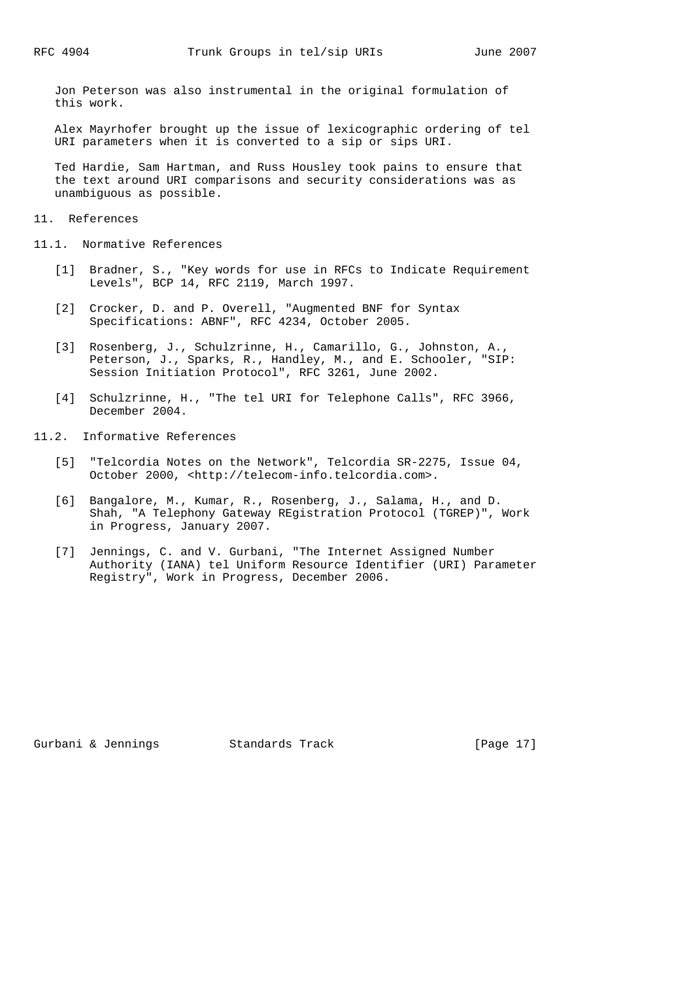Jon Peterson was also instrumental in the original formulation of this work.

 Alex Mayrhofer brought up the issue of lexicographic ordering of tel URI parameters when it is converted to a sip or sips URI.

 Ted Hardie, Sam Hartman, and Russ Housley took pains to ensure that the text around URI comparisons and security considerations was as unambiguous as possible.

### 11. References

11.1. Normative References

- [1] Bradner, S., "Key words for use in RFCs to Indicate Requirement Levels", BCP 14, RFC 2119, March 1997.
- [2] Crocker, D. and P. Overell, "Augmented BNF for Syntax Specifications: ABNF", RFC 4234, October 2005.
- [3] Rosenberg, J., Schulzrinne, H., Camarillo, G., Johnston, A., Peterson, J., Sparks, R., Handley, M., and E. Schooler, "SIP: Session Initiation Protocol", RFC 3261, June 2002.
- [4] Schulzrinne, H., "The tel URI for Telephone Calls", RFC 3966, December 2004.
- 11.2. Informative References
	- [5] "Telcordia Notes on the Network", Telcordia SR-2275, Issue 04, October 2000, <http://telecom-info.telcordia.com>.
	- [6] Bangalore, M., Kumar, R., Rosenberg, J., Salama, H., and D. Shah, "A Telephony Gateway REgistration Protocol (TGREP)", Work in Progress, January 2007.
	- [7] Jennings, C. and V. Gurbani, "The Internet Assigned Number Authority (IANA) tel Uniform Resource Identifier (URI) Parameter Registry", Work in Progress, December 2006.

Gurbani & Jennings Standards Track [Page 17]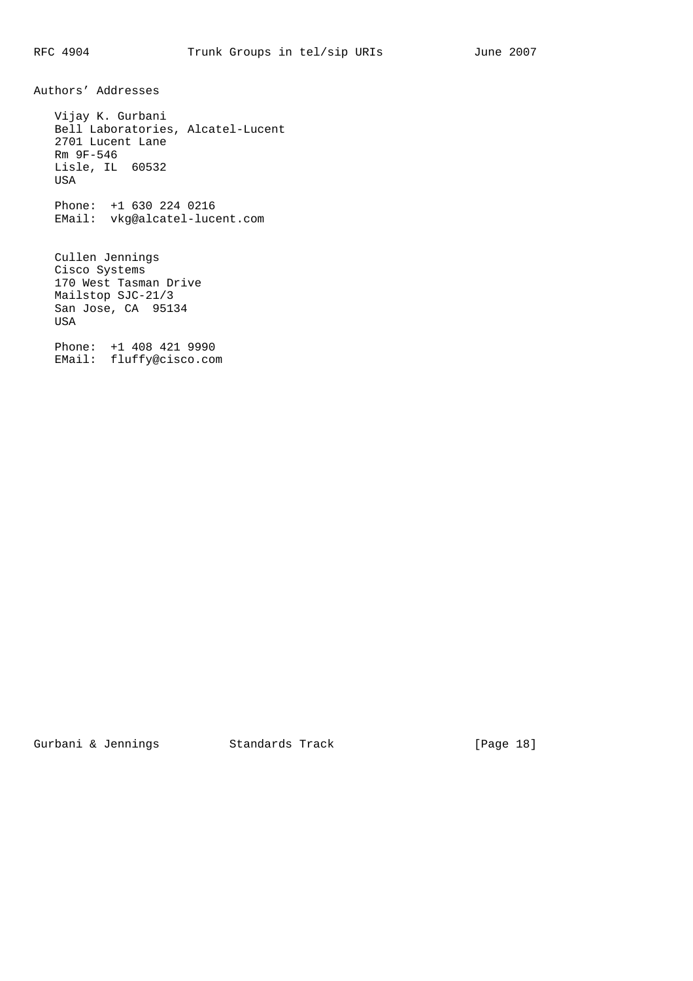USA

Authors' Addresses Vijay K. Gurbani Bell Laboratories, Alcatel-Lucent 2701 Lucent Lane Rm 9F-546 Lisle, IL 60532 USA Phone: +1 630 224 0216 EMail: vkg@alcatel-lucent.com Cullen Jennings Cisco Systems 170 West Tasman Drive Mailstop SJC-21/3

 Phone: +1 408 421 9990 EMail: fluffy@cisco.com

San Jose, CA 95134

Gurbani & Jennings Standards Track [Page 18]